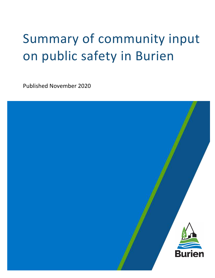# Summary of community input on public safety in Burien

Published November 2020

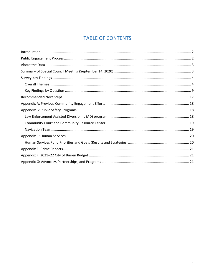### **TABLE OF CONTENTS**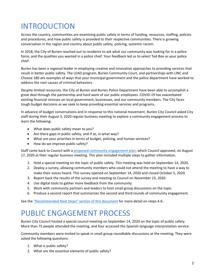# <span id="page-2-0"></span>INTRODUCTION

Across the country, communities are examining public safety in terms of funding, resources, staffing, policies and procedures, and how public safety is provided to their respective communities. There is growing conversation in the region and country about public safety, policing, systemic racism.

In 2018, the City of Burien reached out to residents to ask what our community was looking for in a police force, and the qualities you wanted in a police chief. Your feedback led us to select Ted Boe as your police chief.

Burien has been a regional leader in employing creative and innovative approaches to providing services that result in better public safety. The LEAD program, Burien Community Court, and partnerships with LINC and Choose 180 are examples of ways that your municipal government and the police department have worked to address the root causes of criminal behaviors.

Despite limited resources, the City of Burien and Burien Police Department have been able to accomplish a great deal through the partnership and hard work of our public employees. COVID-19 has exacerbated existing financial stresses on local government, businesses, and our community members. The City faces tough budget decisions as we seek to keep providing essential services and programs.

In advance of budget conversations and in response to this national movement, Burien City Council asked City staff during their August 3, 2020 regular business meeting to explore a community engagement process to learn the following:

- What does public safety mean to you?
- Are there gaps in public safety, and if so, in what way?
- What are your priorities in terms of budget, policing, and human services?
- How do we improve public safety?

Staff came back to Council with a [proposed community engagement plan,](https://burienwa.civicweb.net/document/40064/Proposal%20for%20Public%20Safety%20Community%20Engagement.pdf?handle=1DDCD3F2973C4BCFA2DC1518A6885A6F) which Council approved, on August 17, 2020 at their regular business meeting. This plan included multiple steps to gather information.

- 1. Hold a special meeting on the topic of public safety. This meeting was held on September 14, 2020.
- 2. Deploy a survey, allowing community members who could not attend the meeting to have a way to make their voices heard. This survey opened on September 14, 2020 and closed October 5, 2020.
- 3. Report back the results of the survey and meeting to Council on November 23, 2020.
- 4. Use digital tools to gather more feedback from the community.
- 5. Work with community partners and leaders to host small group discussions on the topic.
- 6. Produce a second report that summarizes the second and third rounds of community engagement.

See the "Recommended Next Steps" [section of this document](#page-17-0) for more detail on steps 4-6.

### <span id="page-2-1"></span>PUBLIC ENGAGEMENT PROCESS

Burien City Council hosted a special council meeting on September 14, 2020 on the topic of public safety. More than 75 people attended the meeting, and four accessed the Spanish-language interpretation service.

Community members were invited to speak in small group roundtable discussions at the meeting. They were asked the following questions:

- 1. What is public safety?
- 2. What are the essential elements of public safety?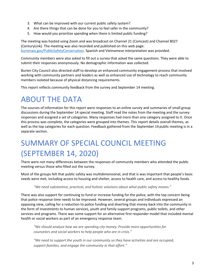- 3. What can be improved with our current public safety system?
- 4. Are there things that can be done for you to feel safer in the community?
- 5. How would you prioritize spending when there is limited public funding?

The meeting was hosted using Zoom and was broadcast on Channel 21 (Comcast) and Channel 8027 (CenturyLink). The meeting was also recorded and published on this web page: [burienwa.gov/PublicSafetyConversation.](https://burienwa.gov/news_events/city_newsroom/news_announcements/burien_city_council_hosts_meeting_on_public_safety) Spanish and Vietnamese interpretation was provided.

Community members were also asked to fill out a survey that asked the same questions. They were able to submit their responses anonymously. No demographic information was collected.

Burien City Council also directed staff to develop an enhanced community engagement process that involved working with community partners and leaders as well as enhanced use of technology to reach community members isolated because of physical distancing requirements.

This report reflects community feedback from the survey and September 14 meeting.

### <span id="page-3-0"></span>ABOUT THE DATA

The sources of information for this report were responses to an online survey and summaries of small group discussions during the September 14 special meeting. Staff read the notes from the meeting and the survey responses and assigned a set of categories. Many responses had more than one category assigned to it. Once this process was complete, the categories were grouped into themes. This report details overall themes, as well as the top categories for each question. Feedback gathered from the September 14 public meeting is in a separate section.

# <span id="page-3-1"></span>SUMMARY OF SPECIAL COUNCIL MEETING (SEPTEMBER 14, 2020)

There were not many differences between the responses of community members who attended the public meeting versus those who filled out the survey.

Most of the groups felt that public safety was multidimensional, and that is was important that people's basic needs were met, including access to housing and shelter, access to health care, and access to healthy foods.

*"We need substantive, practical, and holistic solutions about what public safety means."*

There was also support for continuing to fund or increase funding for the police, with the top concern being that police response time needs to be improved. However, several groups and individuals expressed an opposing view, calling for a reduction to police funding and diverting that money back into the community in the form of investments to human services, youth and family support programs, public toilets, and other services and programs. There was some support for an alternative first responder model that included mental health or social workers as part of an emergency response team.

*"We should analyze how we are spending city money. Provide more opportunities for counselors and social workers to help people who are in crisis."* 

*"We need to support the youth in our community so they have activities and are occupied, support families, and engage the community in that effort."*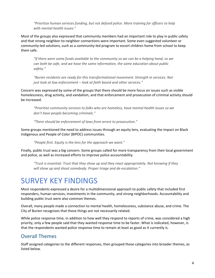*"Prioritize human services funding, but not defund police. More training for officers to help with mental health issues."*

Most of the groups also expressed that community members had an important role to play in public safety and that strong neighbor-to-neighbor connections were important. Some even suggested volunteer or community-led solutions, such as a community-led program to escort children home from school to keep them safe.

*"If there were some funds available to the community so we can be a helping hand, so we can both be safe, and we have the same information, the same education about public safety."* 

*"Burien residents are ready for this transformational movement. Strength in services. Not just look at law enforcement – look at faith based and other services."*

Concern was expressed by some of the groups that there should be more focus on issues such as visible homelessness, drug activity, and vandalism, and that enforcement and prosecution of criminal activity should be increased.

*"Prioritize community services to folks who are homeless, have mental health issues so we don't have people becoming criminals."*

*"There should be enforcement of laws from arrest to prosecution."*

Some groups mentioned the need to address issues through an equity lens, evaluating the impact on Black Indigenous and People of Color (BIPOC) communities.

*"People first. Equity is the lens for the approach we want."*

Finally, public trust was a big concern. Some groups called for more transparency from their local government and police, as well as increased efforts to improve police accountability.

*"Trust is essential. Trust that they show up and they react appropriately. Not knowing if they will show up and shoot somebody. Proper triage and de-escalation."*

### <span id="page-4-0"></span>SURVEY KEY FINDINGS

Most respondents expressed a desire for a multidimensional approach to public safety that included first responders, human services, investments in the community, and strong neighborhoods. Accountability and building public trust were also common themes.

Overall, many people made a connection to mental health, homelessness, substance abuse, and crime. The City of Burien recognizes that these things are not necessarily related.

While police response time, in addition to how well they respond to reports of crime, was considered a high priority, only a few people said that they wanted response time to be faster. What is indicated, however, is that the respondents wanted police response time to remain at least as good as it currently is.

### <span id="page-4-1"></span>Overall Themes

Staff assigned categories to the different responses, then grouped those categories into broader themes, as listed below.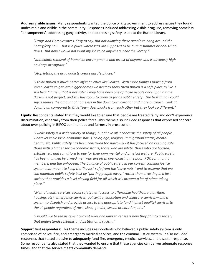**Address visible issues:** Many respondents wanted the police or city government to address issues they found undesirable and visible in the community. Responses included addressing visible drug use, removing homeless "encampments", addressing gang activity, and addressing safety issues at the Burien Library.

*"Drugs and Homelessness. Easy to say. But not allowing these people to hang around the library/city hall. That is a place where kids are supposed to be during summer or non-school times. But now I would not want my kid to be anywhere near the library."*

*"Immediate removal of homeless encampments and arrest of anyone who is obviously high on drugs or vagrant."*

*"Stop letting the drug addicts create unsafe places."*

*"I think Burien is much better off than cities like Seattle. With more families moving from West Seattle to get into bigger homes we need to show them Burien is a safe place to live. I still hear "Burien, that is not safe" I may have been one of those people once upon a time. Burien is not perfect, and still has room to grow as far as public safety. The best thing I could say is reduce the amount of homeless in the downtown corridor and more outreach. Look at downtown compared to Olde Town. Just blocks from each other but they look so different."*

**Equity:** Respondents stated that they would like to ensure that people are treated fairly and don't experience discrimination, especially from their police force. This theme also included responses that expressed concern about over-policing in BIPOC communities and fairness in prosecution.

*"Public safety is a wide variety of things, but above all it concerns the safety of all people, whatever their socio-economic status, color, age, religion, immigration status, mental health, etc. Public safety has been construed too narrowly - it has focused on keeping safe those with a higher socio-economic status, those who are white, those who are housed, established, and can afford to pay for their own mental and physical welfare. Public safety has been handled by armed men who are often over-policing the poor, POC community members, and the unhoused. The balance of public safety in our current criminal justice system has meant to keep the "haves" safe from the "have nots," and to assume that we can maintain public safety best by "putting people away," rather than investing in a just society that provides a level playing field for all which will prevent a lot of crime taking place."*

*"Mental health services, social safety net (access to affordable healthcare, nutrition, housing, etc), emergency services, police/fire, education and childcare services—and a system to dispatch and provide access to the appropriate (and highest quality) services to the all people regardless of race, class, gender, sexual orientation, etc."*

*"I would like to see us revisit current rules and laws to reassess how they fit into a society that understands systemic and institutional racism."*

**Support first responders:** This theme includes respondents who believed a public safety system is only comprised of police, fire, and emergency medical services, and the criminal justice system. It also included responses that stated a desire to adequately fund fire, emergency medical services, and disaster response. Some respondents also stated that they wanted to ensure that these agencies can deliver adequate response times, and that the service meets community demand.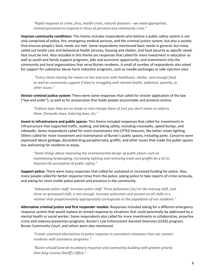*"Rapid response to crime, fires, health crises, natural disasters - we need appropriate, trained personnel to respond in times of personal and community crisis."*

**Improve community conditions:** This theme includes respondents who believe a public safety system is *not*  only comprised of police, fire, emergency medical services, and the criminal justice system, but also a society that ensures people's basic needs are met. Some respondents mentioned basic needs in general, but many called out health care and behavioral health services, housing and shelter, and food security as specific needs that must be met. Also included in this theme are responses that called for more investment in education as well as youth and family support programs, jobs and economic opportunity, and investments into the community and local organizations that serve Burien residents. A small of number of respondents also asked for support for substance abuse harm reduction programs, such as needle exchanges or safe injection sites.

*"Every citizen having the means to live and exist with healthcare, shelter, and enough food, as well as community support if they're struggling with mental health, addiction, poverty, or other issues."*

**Stricter criminal justice system:** There were some responses that called for stricter application of the law ("law and order"), as well as for prosecution that holds people accountable and protects victims.

*"Enforce laws that are on books or else change them of [sic] you don't mean to enforce them: fireworks laws, loitering laws, etc."*

**Invest in infrastructure and public spaces:** This theme included responses that called for investments in infrastructure that supported traffic, walking, and biking safety, including crosswalks, speed bumps, and sidewalks. Some respondents called for more investments into CPTED features, like better street lighting. Others called for more investment and maintenance of Burien's public spaces, including parks. Concerns were expressed about garbage, discarded drug paraphernalia, graffiti, and other issues that made the public spaces less welcoming for residents to enjoy.

*"Some things about improving the environmental design of public places such as maintaining landscaping, increasing lighting and removing trash and graffiti do a lot to improve the perception of public safety."*

**Support police:** There were many responses that called for sustained or increased funding for police. Also, many people called for better response times from the police, asking police to take reports of crime seriously, and asking for more visible police patrols and presence in the community.

*"Adequate police staff. Increase police staff. Three policeman [sic] on the evening shift, and three on graveyard shift, is not enough. Increase policemen and women on all shifts in a manner that proportionately appropriately corresponds to the population of our residents."* 

**Alternative criminal justice and first responder models:** Responses included asking for a different emergency response system that would replace an armed response to situations that could potentially be addressed by a mental health or social worker. Some respondents also called for more investments in collaborative, proactive crime and violence prevention programs. Burien's Law Enforcement Assisted Diversion (LEAD) program, Burien Community Court, and others were also mentioned.

*"Create unarmed alternatives to police response in nonviolent situations that can connect residents with assistance programs."*

*"Burien should fund de-escalatory response and community building with greater priority than King County Sheriff's Office."*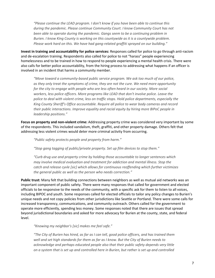*"Please continue the LEAD program. I don't know if you have been able to continue this during the pandemic. Please continue Community Court. I know Community Court has not*  been able to operate during the pandemic. Gangs seem to be a continuing problem in *Burien. I know King County is working on this countywide as it is a countywide problem. Please work hard on this. We have had gang-related graffiti sprayed on our building."*

**Invest in training and accountability for police services:** Responses called for police to go through anti-racism and de-escalation training. Respondents also called for police to not "harass" people experiencing homelessness and to be trained in how to respond to people experiencing a mental health crisis. There were also calls for better police accountability, from the hiring process to addressing what happens if an officer is involved in an incident that harms a community member.

*"Move toward a community-based public service program. We ask too much of our police, as they only treat the symptoms of crime, they are not the cure. We need more opportunity for the city to engage with people who are less often heard in our society. More social*  workers, less police officers. More programs like LEAD that don't involve police. Leave the *police to deal with violent crime, less on traffic stops. Hold police departments, especially the King County Sheriff's Office accountable. Require all police to wear body cameras and record their public interactions. Improve equality and racial equity by hiring more BIPoC people in leadership positions."*

**Focus on property and non-violent crime:** Addressing property crime was considered very important by some of the respondents. This included vandalism, theft, graffiti, and other property damage. Others felt that addressing less violent crimes would deter more criminal activity from occurring.

*"Public safety protects people and property from harm."*

*"Stop gang tagging of public/private property. Set up film devices to stop them."*

*"Curb drug use and property crime by holding those accountable to longer sentences which may involve medical evaluation and treatment for addiction and mental illness. Stop the catch and release cyvle [sic] which allows for continuous reoffending which further victimizes the general public as well as the person who needs correction."*

**Public trust:** Many felt that building connections between neighbors as well as mutual aid networks was an important component of public safety. There were many responses that called for government and elected officials to be responsive to the needs of the community, with a specific ask for them to listen to all voices, including BIPOC and youth. Some responses called for elected officials to tailor any policy changes to Burien's unique needs and not copy policies from other jurisdictions like Seattle or Portland. There were some calls for increased transparency, communications, and community outreach. Others called for the government to operate more efficiently, spending less money. Some responses noted that there are issues that spread beyond jurisdictional boundaries and asked for more advocacy for Burien at the county, state, and federal level.

*"Knowing my neighbor's [sic] makes me feel safe."*

*"The City of Burien has hired, as far as I can tell, good police officers, and has trained them well and set high standards for them as far as I know. But the City of Burien needs to acknowledge and perhaps educated people also that their public safety depends very little on a system that is set up and controlled here in Burien, but rather is set up and controlled*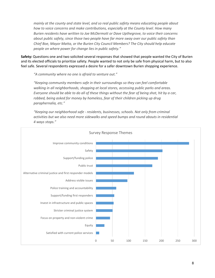*mainly at the county and state level, and so real public safety means educating people about how to voice concerns and make contributions, especially at the County level. How many Burien residents have written to Joe McDermott or Dave Upthegrove, to voice their concerns about public safety, since those two people have far more sway over our public safety than Chief Boe, Mayor Matta, or the Burien City Council Members? The City should help educate people on where power for change lies in public safety."*

**Safety:** Questions one and two solicited several responses that showed that people wanted the City of Burien and its elected officials to prioritize safety. People wanted to not only be safe from physical harm, but to also feel safe. Several respondents expressed a desire for a safer downtown Burien shopping experience.

*"A community where no one is afraid to venture out."*

*"Keeping community members safe in their surroundings so they can feel comfortable walking in all neighborhoods, shopping at local stores, accessing public parks and areas. Everyone should be able to do all of these things without the fear of being shot, hit by a car,*  robbed, being asked for money by homeless, fear of their children picking up drug *paraphernalia, etc."*

*"Keeping our neighborhood safe - residents, businesses, schools. Not only from criminal*  activities but we also need more sidewalks and speed bumps and round abouts in residential *4 ways stops."*

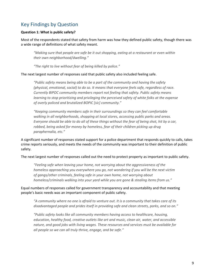### <span id="page-9-0"></span>Key Findings by Question

### **Question 1: What is public safety?**

Most of the respondents stated that safety from harm was how they defined public safety, though there was a wide range of definitions of what safety meant.

*"Making sure that people are safe be it out shopping, eating at a restaurant or even within their own neighborhood/dwelling."*

*"The right to live without fear of being killed by police."*

The next largest number of responses said that public safety also included feeling safe.

*"Public safety means being able to be a part of the community and having the safety (physical, emotional, social) to do so. It means that everyone feels safe, regardless of race. Currently BIPOC community members report not feeling that safety. Public safety means learning to stop prioritizing and privileging the perceived safety of white folks at the expense of overly policed and brutalized BOPIC [sic] community."*

*"Keeping community members safe in their surroundings so they can feel comfortable walking in all neighborhoods, shopping at local stores, accessing public parks and areas. Everyone should be able to do all of these things without the fear of being shot, hit by a car,*  robbed, being asked for money by homeless, fear of their children picking up drug *paraphernalia, etc."*

A significant number of responses stated support for a police department that responds quickly to calls, takes crime reports seriously, and meets the needs of the community was important to their definition of public safety.

The next largest number of responses called out the need to protect property as important to public safety.

*"Feeling safe when leaving your home, not worrying about the aggressiveness of the homeless approaching you everywhere you go, not wondering if you will be the next victim of gangs/other criminals, feeling safe in your own home, not worrying about homeless/criminals walking into your yard while you are gone & stealing items from us."*

Equal numbers of responses called for government transparency and accountability and that meeting people's basic needs was an important component of public safety.

*"A community where no one is afraid to venture out. It is a community that takes care of its disadvantaged people and prides itself in providing safe and clean streets, parks, and so on."*

*"Public safety looks like all community members having access to healthcare, housing, education, healthy food, creative outlets like art and music, clean air, water, and accessible nature, and good jobs with living wages. These resources and services must be available for all people so we can all truly thrive, engage, and be safe."*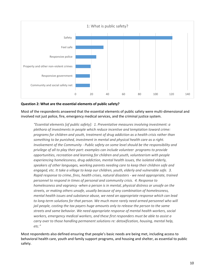

### **Question 2: What are the essential elements of public safety?**

Most of the respondents answered that the essential elements of public safety were multi-dimensional and involved not just police, fire, emergency medical services, and the criminal justice system.

*"Essential elements [of public safety]: 1. Preventative measures involving investment: a plethora of investments in people which reduce incentive and temptation toward crime: programs for children and youth, treatment of drug addiction as a health crisis rather than something to be punished, investment in mental and physical health care as a right. Involvement of the Community - Public safety on some level should be the responsibility and privilege of all to play their part: examples can include volunteer programs to provide opportunities, recreation and learning for children and youth, volunteerism with people experiencing homelessness, drug addiction, mental health issues, the isolated elderly, speakers of other languages, working parents needing care to keep their children safe and engaged, etc. It take a village to keep our children, youth, elderly and vulnerable safe. 3. Rapid response to crime, fires, health crises, natural disasters - we need appropriate, trained personnel to respond in times of personal and community crisis. 4. Response to homelessness and vagrancy -when a person is in mental, physical distress or unsafe on the streets, or making others unsafe, usually because of any combination of homelessness, mental health issues and substance abuse, we need an appropriate response which can lead*  to long-term solutions for that person. We much more rarely need armed personnel who will *jail people, costing the tax payers huge amounts only to release the person to the same streets and same behavior. We need appropriate response of mental health workers, social workers, emergency medical workers, and these first responders must be able to assist a carry over to those handling permanent solutions re: detoxification, housing, mental help, etc."*

Most respondents also defined ensuring that people's basic needs are being met, including access to behavioral health care, youth and family support programs, and housing and shelter, as essential to public safety.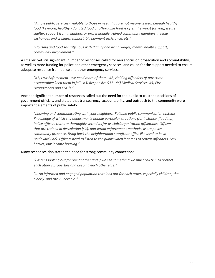*"Ample public services available to those in need that are not means-tested. Enough healthy food (keyword, healthy - donated food or affordable food is often the worst for you), a safe shelter, support from neighbors or professionally trained community members, needle exchanges and wellness support, bill payment assistance, etc."*

*"Housing and food security, jobs with dignity and living wages, mental health support, community involvement."*

A smaller, yet still significant, number of responses called for more focus on prosecution and accountability, as well as more funding for police and other emergency services, and called for the support needed to ensure adequate response from police and other emergency services.

*"#1) Law Enforcement - we need more of them. #2) Holding offenders of any crime accountable; keep them in jail. #3) Responsive 911 #4) Medical Services #5) Fire Departments and EMT's."*

Another significant number of responses called out the need for the public to trust the decisions of government officials, and stated that transparency, accountability, and outreach to the community were important elements of public safety.

*"Knowing and communicating with your neighbors. Reliable public communication systems. Knowledge of which city departments handle particular situations (for instance, flooding.) Police officers that are thoroughly vetted as far as club/organization affiliations. Officers that are trained in descalation [sic], non-lethal enforcement methods. More police community presence. Bring back the neighborhood storefront office like used to be in Boulevard Park. Officers need to listen to the public when it comes to repeat offenders. Low barrier, low income housing."*

#### Many responses also stated the need for strong community connections.

*"Citizens looking out for one another and if we see something we must call 911 to protect each other's properties and keeping each other safe."*

*"… An informed and engaged population that look out for each other, especially children, the elderly, and the vulnerable."*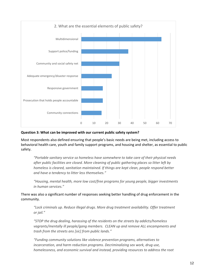

### **Question 3: What can be improved with our current public safety system?**

Most respondents also defined ensuring that people's basic needs are being met, including access to behavioral health care, youth and family support programs, and housing and shelter, as essential to public safety.

*"Portable sanitary service so homeless have somewhere to take care of their physical needs after public facilities are closed. More cleaning of public gathering places so litter left by homeless is cleared, sanitation maintained. If things are kept clean, people respond better and have a tendency to litter less themselves."*

*"Housing, mental health, more low cost/free programs for young people, bigger investments in human services."*

There was also a significant number of responses seeking better handling of drug enforcement in the community.

*"Lock criminals up. Reduce illegal drugs. More drug treatment availability. Offer treatment or jail."*

*"STOP the drug dealing, harassing of the residents on the streets by addicts/homeless vagrants/mentally ill people/gang members. CLEAN up and remove ALL encampments and trash from the streets ans [sic] from public lands."*

*"Funding community solutions like violence prevention programs, alternatives to incarceration, and harm reduction programs. Decriminalizing sex work, drug use, homelessness, and economic survival and instead, providing resources to address the root*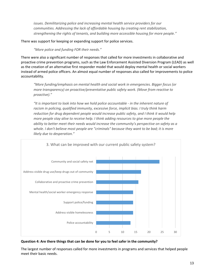*issues. Demilitarizing police and increasing mental health service providers for our communities. Addressing the lack of affordable housing by creating rent stabilization, strengthening the rights of tenants, and building more accessible housing for more people."*

There was support for keeping or expanding support for police services.

*"More police and funding FOR their needs."*

There were also a significant number of responses that called for more investments in collaborative and proactive crime prevention programs, such as the Law Enforcement Assisted Diversion Program (LEAD) as well as the creation of an alternative first responder model that would deploy mental health or social workers instead of armed police officers. An almost equal number of responses also called for improvements to police accountability.

*"More funding/emphasis on mental health and social work in emergencies. Bigger focus (or more transparency) on proactive/preventative public safety work. (Move from reactive to proactive)."*

*"It is important to look into how we hold police accountable - in the inherent nature of racism in policing, qualified immunity, excessive force, implicit bias. I truly think harm reduction for drug dependent people would increase public safety, and I think it would help more people stay alive to receive help. I think adding resources to give more people the ability to better meet their needs would increase the community's perspective on safety as a whole. I don't believe most people are "criminals" because they want to be bad; it is more likely due to desperation."*



**Question 4: Are there things that can be done for you to feel safer in the community?**

The largest number of responses called for more investments in programs and services that helped people meet their basic needs.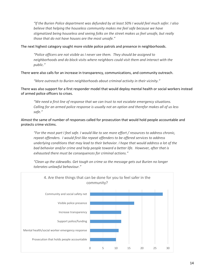*"If the Burien Police department was defunded by at least 50% I would feel much safer. I also*  believe that helping the houseless community makes me feel safe because we have *stigmatized being houseless and seeing folks on the street makes us feel unsafe, but really those that do not have houses are the most unsafe."*

The next highest category sought more visible police patrols and presence in neighborhoods.

*"Police officers are not visible as I never see them. They should be assigned to neighborhoods and do block visits where neighbors could visit them and interact with the public."* 

There were also calls for an increase in transparency, communications, and community outreach.

*"More outreach to Burien neighborhoods about criminal activity in their vicinity."*

There was also support for a first responder model that would deploy mental health or social workers instead of armed police officers to crises.

*"We need a first line of response that we can trust to not escalate emergency situations. Calling for an armed police response is usually not an option and therefor makes all of us less safe."*

Almost the same of number of responses called for prosecution that would hold people accountable and protects crime victims.

*"For the most part I feel safe. I would like to see more effort / resources to address chronic, repeat offenders. I would first like repeat offenders to be offered services to address underlying conditions that may lead to their behavior. I hope that would address a lot of the bad behavior and/or crime and help people toward a better life. However, after that is exhausted there must be consequences for criminal actions."*

*"Clean up the sidewalks. Get tough on crime so the message gets out Burien no longer tolerates unlawful behaviour."*

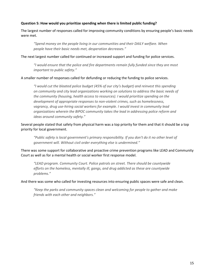### **Question 5: How would you prioritize spending when there is limited public funding?**

The largest number of responses called for improving community conditions by ensuring people's basic needs were met.

*"Spend money on the people living in our communities and their DAILY welfare. When people have their basic needs met, desperation decreases."*

### The next largest number called for continued or increased support and funding for police services.

*"I would ensure that the police and fire departments remain fully funded since they are most important to public safety."*

### A smaller number of responses called for defunding or reducing the funding to police services.

*"I would cut the bloated police budget (45% of our city's budget) and reinvest this spending on community and city lead organizations working on solutions to address the basic needs of the community (housing, health access to resources). I would prioritize spending on the development of appropriate responses to non-violent crimes, such as homelessness, vagrancy, drug use-hiring social workers for example. I would invest in community lead organizations wherein the BIPOC community takes the lead in addressing police reform and ideas around community safety."*

Several people stated that safety from physical harm was a top priority for them and that it should be a top priority for local government.

*"Public safety is local government's primary responsibility. If you don't do it no other level of government will. Without civil order everything else is undermined."* 

There was some support for collaborative and proactive crime prevention programs like LEAD and Community Court as well as for a mental health or social worker first response model.

*"LEAD program. Community Court. Police patrols on street. There should be countywide efforts on the homeless, mentally ill, gangs, and drug addicted as these are countywide problems."*

### And there was some who called for investing resources into ensuring public spaces were safe and clean.

*"Keep the parks and community spaces clean and welcoming for people to gather and make friends with each other and neighbors."*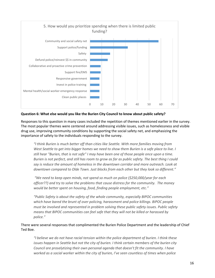

### **Question 6: What else would you like the Burien City Council to know about public safety?**

Responses to this question in many cases included the repetition of themes mentioned earlier in the survey. The most popular themes were centered around addressing visible issues, such as homelessness and visible drug use, improving community conditions by supporting the social safety net, and emphasizing the importance of safety to the individuals responding to the survey.

*"I think Burien is much better off than cities like Seattle. With more families moving from West Seattle to get into bigger homes we need to show them Burien is a safe place to live. I still hear "Burien, that is not safe" I may have been one of those people once upon a time. Burien is not perfect, and still has room to grow as far as public safety. The best thing I could say is reduce the amount of homeless in the downtown corridor and more outreach. Look at downtown compared to Olde Town. Just blocks from each other but they look so different."*

*"We need to keep open minds, not spend so much on police (\$250,000/year for each officer??) and try to solve the problems that cause distress for the community. The money would be better spent on housing, food, finding people employment, etc."*

*"Public Safety is about the safety of the whole community, especially BIPOC communities which have bared the brunt of over policing, harassment and police killings. BIPOC people must be involved and represented in problem solving these public safety issues. Public safety means that BIPOC communities can feel safe that they will not be killed or harassed by police."*

### There were several responses that complimented the Burien Police Department and the leadership of Chief Ted Boe.

*"I believe we do not have racial tension within the police department of burien. I think these issues happen in Seattle but not the city of burien. I think certain members of the burien city Council are proselytizing their own personal agenda that doesn't fit the community. I have worked as a social worker within the city of burien, I've seen countless of times when police*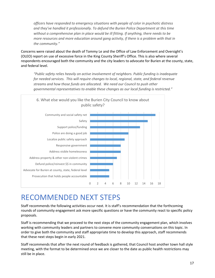*officers have responded to emergency situations with people of color in psychotic distress and they've handled it professionally. To defund the Burien Police Department at this time without a comprehensive plan in place would be ill fitting. If anything, there needs to be*  more resources and more education around gang activity, if there is a problem with that in *the community."*

Concerns were raised about the death of Tommy Le and the Office of Law Enforcement and Oversight's (OLEO) report on use of excessive force in the King County Sheriff's Office. This is also where several respondents encouraged both the community and the city leaders to advocate for Burien at the county, state, and federal level.

*"Public safety relies heavily on active involvement of neighbors. Public funding is inadequate for needed services. This will require changes to local, regional, state, and federal revenue streams and how those funds are allocated. We need our Council to push other governmental representatives to enable these changes as our local funding is restricted."*



### <span id="page-17-0"></span>RECOMMENDED NEXT STEPS

Staff recommends the following activities occur next. It is staff's recommendation that the forthcoming rounds of community engagement ask more specific questions or have the community react to specific policy proposals.

Staff is recommending that we proceed to the next steps of the community engagement plan, which involves working with community leaders and partners to convene more community conversations on this topic. In order to give both the community and staff appropriate time to develop this approach, staff recommends that these next steps begin in early 2021.

Staff recommends that after the next round of feedback is gathered, that Council host another town hall style meeting, with the format to be determined once we are closer to the date as public health restrictions may still be in place.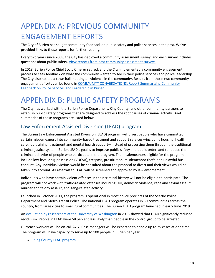# <span id="page-18-0"></span>APPENDIX A: PREVIOUS COMMUNITY ENGAGEMENT EFFORTS

The City of Burien has sought community feedback on public safety and police services in the past. We've provided links to those reports for further reading.

Every two years since 2008, the City has deployed a community assessment survey, and each survey includes questions about public safety. [View reports from past community assessment surveys.](https://burienwa.gov/residents/resident_resources/community_engagement/community_assessment_survey)

In 2018, Burien Police Chief Scott Kimerer retired, and the City implemented a community engagement process to seek feedback on what the community wanted to see in their police services and police leadership. The City also hosted a town hall meeting on violence in the community. Results from those two community engagement efforts can be found in [COMMUNITY CONVERSATIONS: Report Summarizing Community](https://burienwa.gov/UserFiles/Servers/Server_11045935/File/Residents/Public%20Safety/Police/Crime%20Report%20Data/Police%20Chief%20Engagement%20Report.pdf)  [Feedback on Police Services and Leadership in Burien.](https://burienwa.gov/UserFiles/Servers/Server_11045935/File/Residents/Public%20Safety/Police/Crime%20Report%20Data/Police%20Chief%20Engagement%20Report.pdf)

# <span id="page-18-1"></span>APPENDIX B: PUBLIC SAFETY PROGRAMS

The City has worked with the Burien Police Department, King County, and other community partners to establish public safety programs that are designed to address the root causes of criminal activity. Brief summaries of those programs are listed below.

### <span id="page-18-2"></span>Law Enforcement Assisted Diversion (LEAD) program

The Burien Law Enforcement Assisted Diversion (LEAD) program will divert people who have committed certain misdemeanors into community-based treatment and support services—including housing, health care, job training, treatment and mental health support—instead of processing them through the traditional criminal justice system. Burien LEAD's goal is to improve public safety and public order, and to reduce the criminal behavior of people who participate in the program. The misdemeanors eligible for the program include low-level drug possession (VUCSA), trespass, prostitution, misdemeanor theft, and unlawful bus conduct. Any individual victims would be consulted about the proposal to divert and their views would be taken into account. All referrals to LEAD will be screened and approved by law enforcement.

Individuals who have certain violent offenses in their criminal history will not be eligible to participate. The program will not work with traffic-related offenses including DUI, domestic violence, rape and sexual assault, murder and felony assault, and gang-related activity.

Launched in October 2011, the program is operational in most police precincts of the Seattle Police Department and Metro Transit Police. The national LEAD program operates in 30 communities across the country, from large cities to small rural communities. The Burien LEAD program launched in early June 2019.

An [evaluation by researchers at the University of Washington](http://static1.1.sqspcdn.com/static/f/1185392/26121870/1428513375150/LEAD_EVALUATION_4-7-15.pdf?token=VeaWL8bE0pbbTSB9frFA8t4XEN8%3D) in 2015 showed that LEAD significantly reduced recidivism. People in LEAD were 58 percent less likely than people in the control group to be arrested.

Outreach workers will be on-call 24-7. Case managers will be expected to handle up to 25 cases at one time. The program will have capacity to serve up to 100 people in Burien per year.

• [King County LEAD program](http://leadkingcounty.org/)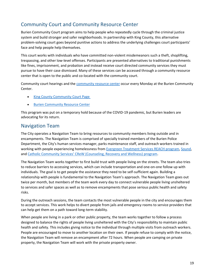### <span id="page-19-0"></span>Community Court and Community Resource Center

Burien Community Court program aims to help people who repeatedly cycle through the criminal justice system and build stronger and safer neighborhoods. In partnership with King County, this alternative problem-solving court goes beyond punitive actions to address the underlying challenges court participants' face and help people help themselves.

This court works with individuals who have committed non-violent misdemeanors such a theft, shoplifting, trespassing, and other low-level offenses. Participants are presented alternatives to traditional punishments like fines, imprisonment, and probation and instead receive court directed community services they must pursue to have their case dismissed. Many of these services can be accessed through a community resource center that is open to the public and co-located with the community court.

Community court hearings and the **[community resource center](https://burienwa.gov/residents/resident_resources/human_services/community_resource_center) occur every Monday** at the Burien Community Center.

- [King County Community Court Page](https://www.kingcounty.gov/courts/district-court/Community%20Courts/Community%20Court%20in%20Burien.aspx)
- [Burien Community Resource Center](https://www.kingcounty.gov/~/media/courts/DistrictCourt/CommunityCourt/BurienRCSchedule.ashx?la=en)

This program was put on a temporary hold because of the COVID-19 pandemic, but Burien leaders are advocating for its return.

### <span id="page-19-1"></span>Navigation Team

The City operates a Navigation Team to bring resources to community members living outside and in encampments. The Navigation Team is comprised of specially trained members of the Burien Police Department, the City's human services manager, parks maintenance staff, and outreach workers trained in working with people experiencing homelessness from [Evergreen Treatment Services REACH program,](https://www.evergreentx.org/about-reach/) [Sound,](https://www.sound.health/) and [Catholic Community Services' CReW \(Counseling, Recovery and Wellness\) program](https://ccsww.org/wp-content/uploads/2017/03/CReW_Program_Brochure_2015_5_14.pdf).

The Navigation Team works together to first build trust with people living on the streets. The team also tries to reduce barriers to accessing services, which can include transportation and one-on-one follow up with individuals. The goal is to get people the assistance they need to be self-sufficient again. Building a relationship with people is fundamental to the Navigation Team's approach. The Navigation Team goes out twice per month, but members of the team work every day to connect vulnerable people living unsheltered to services and safer spaces as well as to remove encampments that pose serious public health and safety risks.

During the outreach sessions, the team contacts the most vulnerable people in the city and encourages them to accept services. This work helps to divert people from jails and emergency rooms to service providers that can help get them on a path toward long-term stability.

When people are living in a park or other public property, the team works together to follow a process designed to balance the rights of people living unsheltered with the City's responsibility to maintain public health and safety. This includes giving notice to the individual through multiple visits from outreach workers. People are encouraged to move to another location on their own. If people refuse to comply with the notice, the Navigation Team will remove an encampment after 72 hours. When people are camping on private property, the Navigation Team will work with the private property owner.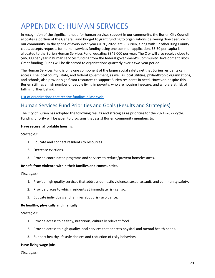# <span id="page-20-0"></span>APPENDIX C: HUMAN SERVICES

In recognition of the significant need for human services support in our community, the Burien City Council allocates a portion of the General Fund budget to grant funding to organizations delivering direct service in our community. In the spring of every even year (2020, 2022, etc.), Burien, along with 17 other King County cities, accepts requests for human services funding using one common application. \$6.50 per capita is allocated to the Burien Human Services Fund, equaling \$345,000 per year. The City will also receive close to \$46,000 per year in human services funding from the federal government's Community Development Block Grant funding. Funds will be dispersed to organizations quarterly over a two-year period.

The Human Services Fund is only one component of the larger social safety net that Burien residents can access. The local county, state, and federal government, as well as local utilities, philanthropic organizations, and schools, also provide significant resources to support Burien residents in need. However, despite this, Burien still has a high number of people living in poverty, who are housing insecure, and who are at risk of falling further behind.

### [List of organizations that receive funding in last cycle.](https://burienwa.gov/residents/resident_resources/human_services/human_services_fund)

### <span id="page-20-1"></span>Human Services Fund Priorities and Goals (Results and Strategies)

The City of Burien has adopted the following results and strategies as priorities for the 2021–2022 cycle. Funding priority will be given to programs that assist Burien community members to:

### **Have secure, affordable housing.**

### *Strategies:*

- 1. Educate and connect residents to resources.
- 2. Decrease evictions.
- 3. Provide coordinated programs and services to reduce/prevent homelessness.

### **Be safe from violence within their families and communities.**

### *Strategies:*

- 1. Provide high quality services that address domestic violence, sexual assault, and community safety.
- 2. Provide places to which residents at immediate risk can go.
- 3. Educate individuals and families about risk avoidance.

### **Be healthy, physically and mentally.**

### *Strategies:*

- 1. Provide access to healthy, nutritious, culturally relevant food.
- 2. Provide access to high quality local services that address physical and mental health needs.
- 3. Support healthy lifestyle choices and reduction of risky behaviors.

### **Have living wage jobs.**

### *Strategies:*